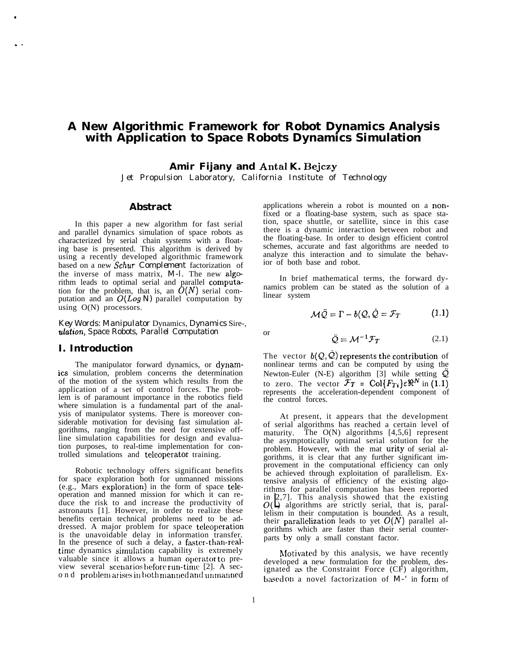# **A New Algorithmic Framework for Robot Dynamics Analysis with Application to Space Robots Dynamics Simulation**

**Amir Fijany and Antal K. Bejczy**

*Jet Propulsion Laboratory, California Institute of Technology*

### **Abstract**

In this paper a new algorithm for fast serial and parallel dynamics simulation of space robots as characterized by serial chain systems with a floating base is presented. This algorithm is derived by using a recently developed algorithmic framework based on a new *Schur Complement* factorization of the inverse of mass matrix,  $M-I$ . The new algorithm leads to optimal serial and parallel computa tion for the problem, that is, an  $O(N)$  serial computation and an *O(Log N)* parallel computation by using O(N) processors.

*Key Words: Manipulator* Dynamics, *Dynamics* Sire-, *ulation, Space Robots, Parallel Computation*

#### **I. Introduction**

●

. .

The manipulator forward dynamics, or dynamics simulation, problem concerns the determination of the motion of the system which results from the application of a set of control forces. The problem is of paramount importance in the robotics field where simulation is a fundamental part of the analysis of manipulator systems. There is moreover considerable motivation for devising fast simulation algorithms, ranging from the need for extensive offline simulation capabilities for design and evaluation purposes, to real-time implementation for controlled simulations and teleoperator training.

Robotic technology offers significant benefits for space exploration both for unmanned missions  $(e.g.,$  Mars exploration) in the form of space teleoperation and manned mission for which it can reduce the risk to and increase the productivity of astronauts [1]. However, in order to realize these benefits certain technical problems need to be addressed. A major problem for space telcoperation is the unavoidable delay in information transfer. In the presence of such a delay, a faster-than-realtime dynamics simulation capability is extremely valuable since it allows a human operator to preview several scenarios before run-time  $[2]$ . A second problem arises in both manned and unmanned applications wherein a robot is mounted on a nonfixed or a floating-base system, such as space station, space shuttle, or satellite, since in this case there is a dynamic interaction between robot and the floating-base. In order to design efficient control schemes, accurate and fast algorithms are needed to analyze this interaction and to simulate the behavior of both base and robot.

In brief mathematical terms, the forward dynamics problem can be stated as the solution of a linear system

$$
\mathcal{M}\ddot{\mathcal{Q}} = \Gamma - b(\mathcal{Q}, \dot{\mathcal{Q}} = \mathcal{F}_T \tag{1.1}
$$

or

$$
\ddot{Q} = \mathcal{M}^{-1} \mathcal{F}_T \tag{2.1}
$$

The vector  $b(Q, Q)$  represents the contribution of nonlinear terms and can be computed by using the Newton-Euler (N-E) algorithm [3] while setting  $Q$ to zero. The vector  $\mathcal{F}_T = \text{Col}\{F_{Ti}\}\epsilon\Re^N$  in (1.1) represents the acceleration-dependent component of the control forces.

At present, it appears that the development of serial algorithms has reached a certain level of maturity. The  $O(N)$  algorithms  $[4,5,6]$  represent the asymptotically optimal serial solution for the problem. However, with the mat urity of serial algorithms, it is clear that any further significant improvement in the computational efficiency can only be achieved through exploitation of parallelism. Extensive analysis of efficiency of the existing algorithms for parallel computation has been reported  $O(\bigcup_{i=1}^{n}$  algorithms are strictly serial, that is, paralin  $[2,7]$ . This analysis showed that the existing lelism in their computation is bounded. As a result, their parallelization leads to yet  $O(N)$  parallel algorithms which are faster than their serial counterparts by only a small constant factor.

Motivated by this analysis, we have recently developed a new formulation for the problem, designated as the Constraint Force  $(CF)$  algorithm, based on a novel factorization of *M-'* in form of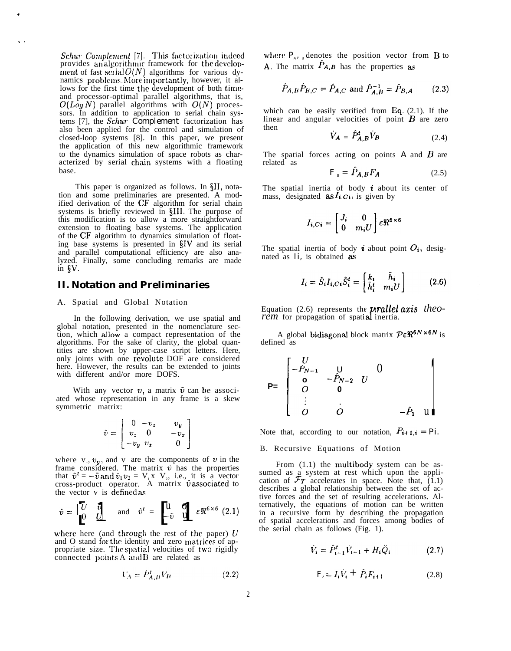$Schur$  *Complement* [7]. provides an algorithmic This factorization indeed framework for the development of fast serial  $O(N)$  algorithms for various dynamics problems. More importantly, however, it allows for the first time the development of both timcand processor-optimal parallel algorithms, that is,  $O(log N)$  parallel algorithms with  $O(N)$  processors. In addition to application to serial chain systems [7], the *Schur Complement* factorization has also been applied for the control and simulation of closed-loop systems [8]. In this paper, we present the application of this new algorithmic framework to the dynamics simulation of space robots as characterized by serial chain systems with a floating base.

.

. .

This paper is organized as follows. In \$11, notation and some preliminaries are presented. A modified derivation of the CF algorithm for serial chain systems is briefly reviewed in \$111. The purpose of this modification is to allow a more straightforward extension to floating base systems. The application of the CF algorithm to dynamics simulation of floating base systems is presented in  $\S$ IV and its serial and parallel computational efficiency are also analyzed. Finally, some concluding remarks are made in  $\delta V$ .

## **II. Notation and Preliminaries**

#### A. Spatial and Global Notation

In the following derivation, we use spatial and global notation, presented in the nomenclature section, which allow a compact representation of the algorithms. For the sake of clarity, the global quantities are shown by upper-case script letters. Here, only joints with one revolute DOF are considered here. However, the results can be extended to joints with different and/or more DOFS.

With any vector  $v$ , a matrix  $\tilde{v}$  can be associated whose representation in any frame is a skew symmetric matrix:

$$
\tilde{v} = \begin{bmatrix} 0 & -v_z & v_y \\ v_z & 0 & -v_x \\ -v_y & v_x & 0 \end{bmatrix}
$$

where  $v_$ ,  $v_y$ , and  $v_$  are the components of v in the frame considered. The matrix  $\tilde{v}$  has the properties that  $\tilde{v}^t = -\tilde{v}$  and  $\tilde{v}_1v_2 = V_1x V_2$ , i.e., it is a vector cross-product operator. A matrix  $\hat{v}$  associated to the vector v is definecl as

$$
\hat{v} = \begin{bmatrix} \overline{U} & \hat{v} \\ 0 & \underline{U} \end{bmatrix}
$$
 and  $\hat{v}^t = \begin{bmatrix} u & \mathbf{q} \\ -\hat{v} & \mathbf{u} \end{bmatrix}$   $\varepsilon \Re^{6 \times 6}$  (2.1)

where here (and through the rest of the paper)  $U$ and O stand for the identity and zero matrices of appropriate size. The spatial velocities of two rigidly connected points  $A$  and  $B$  are related as

$$
V_A = P_{A,B}^t V_B \tag{2.2}
$$

where  $P_{\scriptscriptstyle A}$ , <sub>*B*</sub> denotes the position vector from **B** to A. The matrix  $P_{A,B}$  has the properties as

$$
\hat{P}_{A,B}\hat{P}_{B,C} = \hat{P}_{A,C} \text{ and } \hat{P}_{A,B}^{-1} = \hat{P}_{B,A} \qquad (2.3)
$$

which can be easily verified from Eq.  $(2.1)$ . If the linear and angular velocities of point  $B$  are zero then

$$
\dot{V}_A = \hat{P}_{A,B}^t \dot{V}_B \tag{2.4}
$$

The spatial forces acting on points *A* and B are related as

$$
F_{B} = P_{A,B} F_{A} \tag{2.5}
$$

The spatial inertia of body  $\boldsymbol{i}$  about its center of mass, designated **as**  $I_{i,Ci}$  is given by

$$
I_{i,Ci} = \begin{bmatrix} J_i & 0 \\ 0 & m_i U \end{bmatrix} \varepsilon \Re^{6 \times 6}
$$

The spatial inertia of body *i* about point  $O_i$ , designated as *Ii,* is obtained as

$$
I_i = \hat{S}_i I_{i,Ci} \hat{S}_i^t = \begin{bmatrix} k_i & \bar{h}_i \\ \bar{h}_i^t & m_i U \end{bmatrix}
$$
 (2.6)

Equation (2.6) represents the **prallel axis** theo-<br>*rem* for propagation of spatial inertia.

A global bidiagonal block matrix  $P \epsilon \mathbb{R}^{6N \times 6N}$  is defined as

$$
P = \begin{bmatrix} U & & & 0 \\ -P_{N-1} & U & 0 & \\ 0 & -P_{N-2} & U & \\ 0 & 0 & & \\ \vdots & \vdots & & \\ 0 & 0 & & -P_1 & u \end{bmatrix}
$$

Note that, according to our notation,  $P_{i+1,i} = Pi$ .

#### B. Recursive Equations of Motion

From  $(1.1)$  the multibody system can be assumed as a system at rest which upon the application of  $\mathcal{F}_T$  accelerates in space. Note that, (1.1) describes a global relationship between the set of active forces and the set of resulting accelerations. Alternatively, the equations of motion can be written in a recursive form by describing the propagation of spatial accelerations and forces among bodies of the serial chain as follows (Fig. 1).

$$
\dot{V}_i = \hat{P}_{i-1}^t \dot{V}_{i-1} + H_i \ddot{Q}_i \tag{2.7}
$$

$$
F_{i} = I_{i}V_{i} + \hat{P}_{i}F_{i+1}
$$
 (2.8)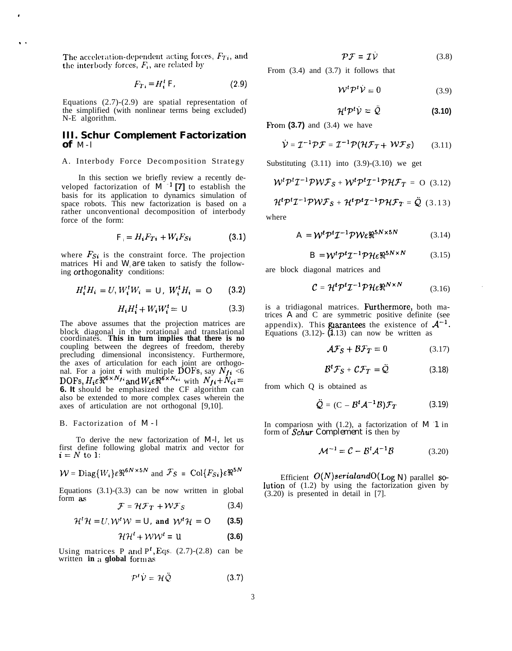The acceleration-dependent acting forces,  $F_{Ti}$ , and the interbody forces,  $F_i$ , are related by

,

. .

$$
F_{Ti} = H_i^t F, \tag{2.9}
$$

Equations (2.7)-(2.9) are spatial representation of the simplified (with nonlinear terms being excluded) N-E algorithm.

#### **III. Schur Complement Factorization** of  $M-I$

#### A. Interbody Force Decomposition Strategy

In this section we briefly review a recently developed factorization of  $M^{-1}$  [7] to establish the basis for its application to dynamics simulation of space robots. This new factorization is based on a rather unconventional decomposition of interbody force of the form:

$$
F_i = H_i F_{Ti} + W_i F_{Si} \tag{3.1}
$$

where  $F_{Si}$  is the constraint force. The projection matrices *Hi* and *W*<sub>*i*</sub> are taken to satisfy the following orthogonality conditions:

$$
H_i^t H_i = U, W_i^t W_i = U, W_i^t H_i = O \qquad (3.2)
$$

$$
H_i H_i^t + W_i W_i^t = U \tag{3.3}
$$

The above assumes that the projection matrices are block diagonal in the rotational and translational coordinates. **This in turn implies that there is no** coupling between the degrees of freedom, thereby precluding dimensional inconsistency. Furthermore, the axes of articulation for each joint are orthogonal. For a joint **i** with multiple DOFs, say  $N_{f_1}$  <6  $DOFs, H_i \varepsilon \mathbb{R}^{6 \times N_f i}$  and  $W_i \varepsilon \mathbb{R}^{6 \times N_c i}$  with  $N_{fi}+N_{ci} =$ **6. It** should be emphasized the CF algorithm can also be extended to more complex cases wherein the axes of articulation are not orthogonal [9,10].

#### B. Factorization of *M - l*

To derive the new factorization of *M-l,* let us first define following global matrix and vector for  $\mathbf{i} = N$  to 1:

$$
W = \text{Diag}\{W_i\}\varepsilon\Re^{6N \times 5N} \text{ and } \mathcal{F}_S = \text{Col}\{F_{Si}\}\varepsilon\Re^{5N}
$$

Equations  $(3.1)-(3.3)$  can be now written in global form as

$$
\mathcal{F} = \mathcal{H}\mathcal{F}_T + \mathcal{W}\mathcal{F}_S \tag{3.4}
$$

$$
\mathcal{H}^t \mathcal{H} = U, \mathcal{W}^t \mathcal{W} = U, \text{ and } \mathcal{W}^t \mathcal{H} = O \qquad (3.5)
$$

$$
\mathcal{H}\mathcal{H}^t + \mathcal{W}\mathcal{W}^t = U \tag{3.6}
$$

Using matrices P and  $P<sup>t</sup>$ , Eqs. (2.7)-(2.8) can be written **in** a global form as

$$
P^t \dot{V} = \mathcal{H} \ddot{\mathcal{Q}} \tag{3.7}
$$

 $\mathcal{P}\mathcal{F} = \mathcal{I}\dot{\mathcal{V}}$  (3.8)

From (3.4) and (3.7) it follows that

$$
W^t \mathcal{P}^t \dot{\mathcal{V}} = 0 \tag{3.9}
$$

$$
\mathcal{H}^t \mathcal{P}^t \mathcal{V} = \mathcal{Q} \tag{3.10}
$$

From  $(3.7)$  and  $(3.4)$  we have

$$
\dot{\mathcal{V}} = \mathcal{I}^{-1} \mathcal{P} \mathcal{F} = \mathcal{I}^{-1} \mathcal{P} (\mathcal{H} \mathcal{F}_T + \mathcal{W} \mathcal{F}_S) \qquad (3.11)
$$

Substituting  $(3.11)$  into  $(3.9)-(3.10)$  we get

$$
\mathcal{W}^t \mathcal{P}^t \mathcal{I}^{-1} \mathcal{P} \mathcal{W} \mathcal{F}_S + \mathcal{W}^t \mathcal{P}^t \mathcal{I}^{-1} \mathcal{P} \mathcal{H} \mathcal{F}_T = O \quad (3.12)
$$

$$
\mathcal{H}^t \mathcal{P}^t \mathcal{I}^{-1} \mathcal{P} \mathcal{W} \mathcal{F}_S + \mathcal{H}^t \mathcal{P}^t \mathcal{I}^{-1} \mathcal{P} \mathcal{H} \mathcal{F}_T = \ddot{\mathcal{Q}} \quad (3.13)
$$

where

$$
A = W^t P^t T^{-1} P W \varepsilon \mathfrak{R}^{5N \times 5N} \tag{3.14}
$$

$$
B = W^t P^t T^{-1} P \mathcal{H} \varepsilon \mathfrak{R}^{5N \times N} \tag{3.15}
$$

are block diagonal matrices and

$$
C = \mathcal{H}^t \mathcal{P}^t \mathcal{I}^{-1} \mathcal{P} \mathcal{H} \varepsilon \mathfrak{R}^{N \times N} \tag{3.16}
$$

is a tridiagonal matrices. Furthermore, both matrices *A* and C are symmetric positive definite (see appendix). This guarantees the existence of  $A^{-1}$ . Equations (3.12)-  $(3.13)$  can now be written as

$$
\mathcal{AF}_S + \mathcal{BF}_T = 0 \tag{3.17}
$$

$$
\mathcal{B}^t \mathcal{F}_S + \mathcal{C} \mathcal{F}_T = \tilde{\mathcal{Q}} \tag{3.18}
$$

from which Q is obtained as

$$
\ddot{\mathcal{Q}} = (\mathbf{C} - \mathcal{B}^t \mathcal{A}^{-1} \mathcal{B}) \mathcal{F}_T \tag{3.19}
$$

In compariosn with  $(1.2)$ , a factorization of  $M$  1 in form of *Schur Complement is* then by

$$
\mathcal{M}^{-1} = \mathcal{C} - \mathcal{B}^t \mathcal{A}^{-1} \mathcal{B}
$$
 (3.20)

Efficient  $O(N)$ serialandO( $\text{Log } N$ ) parallel so-Iution of (1.2) by using the factorization given by (3.20) is presented in detail in [7].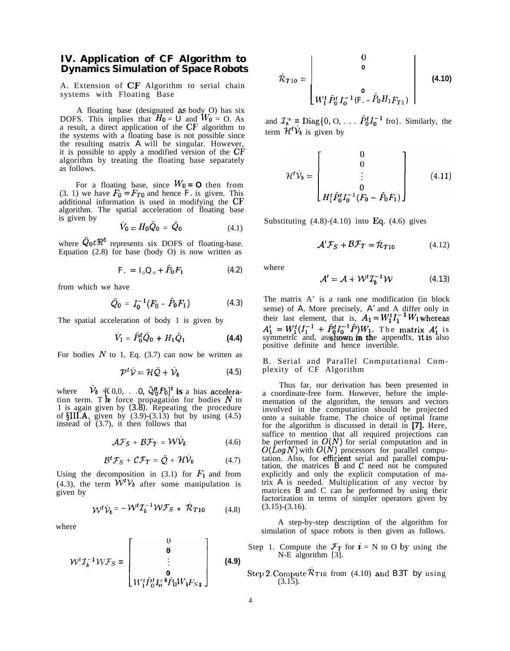## **IV. Application of CF Algorithm to Dynamics Simulation of Space Robots**

A. Extension of CF Algorithm to serial chain systems with Floating Base

A floating base (designated as body O) has six DOFS. This implies that  $H_0 = U$  and  $W_0 = 0$ . As a result, a direct application of the CF algorithm to the systems with a floating base is not possible since the resulting matrix *A* will be singular. However, it is possible to apply a modified version of the CF algorithm by treating the floating base separately as follows.

For a floating base, since  $W_0 = \mathbf{O}$  then from  $(3. 1)$  we have  $F_0 = F_{T0}$  and hence *F*, is given. This additional information is used in modifying the CF algorithm. The spatial acceleration of floating base is given by

$$
\dot{V}_0 = H_0 \ddot{Q}_0 = \ddot{Q}_0 \tag{4.1}
$$

where  $Q_0 \in \mathbb{R}^6$  represents six DOFS of floating-base. Equation (2.8) for base (body O) is now written as

$$
F. = I_o Q_o + P_0 F_1 \qquad (4.2)
$$

from which we have

$$
\ddot{Q}_0 = I_0^{-1} (F_0 - \hat{P}_0 F_1) \qquad (4.3)
$$

The spatial acceleration of body 1 is given by

and the same

$$
\dot{V}_1 = \dot{P}_0^t \dot{Q}_0 + H_1 \dot{Q}_1 \tag{4.4}
$$

For bodies  $N$  to 1, Eq. (3.7) can now be written as

$$
\mathcal{P}^t \dot{\mathcal{V}} = \mathcal{H} \ddot{\mathcal{Q}} + \dot{\mathcal{V}}_b \tag{4.5}
$$

where  $V_b = (0,0, \ldots, 0, \mathcal{Q}_0^H P_0)^t$  is a bias accelera-<br>tion term. The force propagation for bodies N to tion term. The force propagation for bodies  $N$  to 1 is again given by *(3.8).* Repeating the procedure of  $\SIII.A$ , given by  $(3.9)-(3.13)$  but by using  $(4.5)$ instead of  $(3.7)$ , it then follows that

$$
\mathcal{AF}_S + \mathcal{BF}_T = \mathcal{W}\dot{\mathcal{V}}_b \tag{4.6}
$$

$$
\mathcal{B}^t \mathcal{F}_S + \mathcal{C} \mathcal{F}_T = \ddot{\mathcal{Q}} + \mathcal{H} \dot{\mathcal{V}}_b \tag{4.7}
$$

Using the decomposition in  $(3.1)$  for  $F_1$  and from (4.3), the term  $W^t V_b$  after some manipulation is given by

$$
\mathcal{W}^t \dot{\mathcal{V}}_b = -\mathcal{W}^t \mathcal{I}_b^{-1} \mathcal{W} \mathcal{F}_S + \mathcal{R}_{T10} \tag{4.8}
$$

where

ere  
\n
$$
\mathcal{W}^{t} \mathcal{I}_{b}^{-1} \mathcal{W} \mathcal{F}_{S} = \begin{bmatrix} 0 \\ \mathbf{\theta} \\ \vdots \\ \mathbf{\theta} \\ W_{1}^{t} \hat{P}_{0}^{t} \mathbf{I}_{0}^{-1} \hat{P}_{0} W_{1} F_{S1} \end{bmatrix}
$$
\n(4.9)

$$
\dot{\mathcal{R}}_{T10} = \begin{bmatrix} 0 \\ 0 \\ 0 \\ W_1^t \hat{P}_0^t I_0^{-1} (\vec{F}_1 - \hat{P}_0 H_1 F_{T1}) \end{bmatrix}
$$
(4.10)

and  $\mathcal{I}_{b}^{A} = \text{Diag}\lbrace 0, 0, \ldots, \hat{P}_{0}^{t} I_{0}^{-1} \text{ fro} \rbrace$ . Similarly, the term  $\mathcal{H}^t \dot{\mathcal{V}}_b$  is given by

$$
\mathcal{H}^{t}\dot{\mathcal{V}}_{b} = \begin{bmatrix} 0 \\ 0 \\ \vdots \\ 0 \\ H_{1}^{t}\hat{P}_{0}^{t}I_{0}^{-1}(F_{0} - \hat{P}_{0}F_{1}) \end{bmatrix}
$$
(4.11)

Substituting  $(4.8)-(4.10)$  into Eq.  $(4.6)$  gives

$$
\mathcal{A}'\mathcal{F}_S + \mathcal{B}\mathcal{F}_T = \dot{\mathcal{R}}_{T10} \tag{4.12}
$$

where

$$
\mathcal{A}' = \mathcal{A} + \mathcal{W}^t \mathcal{I}_b^{-1} \mathcal{W} \tag{4.13}
$$

The matrix A' is a rank one modification (in block sense) of *A.* More precisely, *A'* and A differ only in their last element, that is,  $A_1 = W_1^t I_1^{-1} W_1$  whereas  $A'_{1}$  =  $W_{1}^{t} (I_{1}^{-1} + \hat{P}_{0}^{t} I_{0}^{-1} \hat{P}) W_{1}$ . The matrix  $A'_{1}$  is symmetric and, assehown in the appendix, it is also positive definite and hence invertible.

B. Serial and Parallel Computational Complexity of CF Algorithm

Thus far, our derivation has been presented in a coordinate-free form. However, before the implementation of the algorithm, the tensors and vectors involved in the computation should be projected onto a suitable frame. The choice of optimal frame for the algorithm is discussed in detail in **[7].** Here, suffice to mention that all required projections can be performed in  $O(N)$  for serial computation and in  $O(\hat{L}og N)$  with  $O(N)$  processors for parallel computation. Also, for efficient serial and parallel computation, the matrices  $B$  and  $C$  need not be computed explicitly and only the explicit computation of matrix *A* is needed. Multiplication of any vector by matrices *B* and C can be performed by using their factorization in terms of simpler operators given by  $(3.15)-(3.16)$ .

A step-by-step description of the algorithm for simulation of space robots is then given as follows.

- Step 1. Compute the  $\mathcal{F}_T$  for  $i = N$  to O by using the N-E algorithm [3].
- **Step 2. Compute**  $\mathcal{R}_{T10}$  **from (4.10) and** *B3T by* **using**  $(3.15).$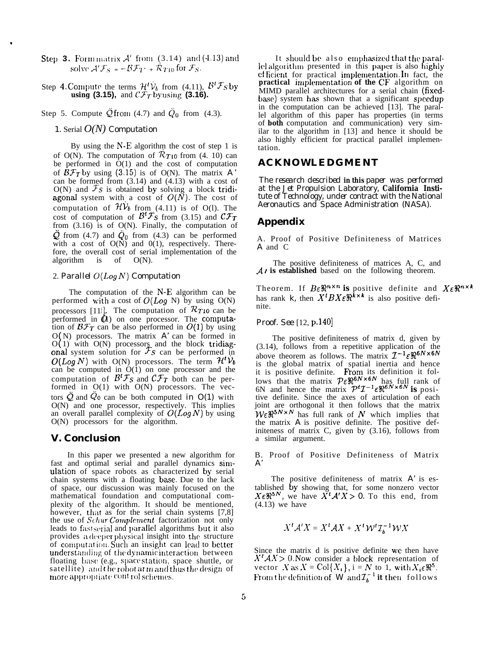- **Step 3.** Form matrix  $A'$  from (3.14) and (4.13) and solve  $\mathcal{A}'\mathcal{F}_S = -\mathcal{B}\mathcal{F}_T + \mathcal{R}_{T10}$  for  $\mathcal{F}_S$ .
- Step 4. Compute the terms  $\mathcal{H}^tV_b$  from (4.11),  $\mathcal{B}^t\mathcal{F}_s$  by **using (3.15),** and  $\mathcal{CF}_T$  by using (3.16).

Step 5. Compute  $\ddot{Q}$  from (4.7) and  $\ddot{Q}_0$  from (4.3).

#### *1.* Serial *O(N) Computation*

\*

By using the  $N-E$  algorithm the cost of step 1 is of O(N). The computation of  $\mathcal{R}_{T10}$  from (4. 10) can be performed in  $\dot{O}(1)$  and the cost of computation of  $\hat{B}F_T$  by using (3.15) is of O(N). The matrix *A* can be formed from  $(3.14)$  and  $(4.13)$  with a cost of  $O(N)$  and  $\mathcal{F}_S$  is obtained by solving a block tridiagonal system with a cost of  $O(N)$ . The cost of computation of  $\mathcal{HV}_b$  from (4.11) is of O(l). The cost of computation of  $\mathcal{B}^t \mathcal{F}_S$  from (3.15) and  $\mathcal{C} \mathcal{F}_T$ from  $(3.16)$  is of  $O(N)$ . Finally, the computation of  $\ddot{Q}$  from (4.7) and  $\ddot{Q}_0$  from (4.3) can be performed A. Proof of Positive Definiteness of Matrices with a cost of O(N) and 0(1), respectively. There-<br>A and C fore, the overall cost of serial implementation of the *Aalgorithm* is of O(N). " algorithm is of  $O(N)$ . " The positive definiteness of matrices A, C, and

The computation of the N-E algorithm can be performed with a cost of  $O(Log N)$  by using  $O(N)$ performed in  $\overline{a}$ ) on one processor. The computa processors [11]. The computation of  $\mathcal{R}_{T10}$  can be tion of  $\mathcal{BF}_T$  can be also performed in  $O(1)$  by using  $\mathbf \zeta$  $O(N)$  processors. The matrix  $A'$  can be formed in  $O(1)$  with  $O(N)$  processors and the block tridiagonal system solution for  $\mathcal{F} s$  can be performed in  $O(Log N)$  with  $O(N)$  processors. The term  $\mathcal{H}^t V_b$ can be computed in  $O(1)$  on one processor and the computation of  $B^t\mathcal{F}_S$  and  $\mathcal{C}\mathcal{F}_T$  both can be performed in  $O(1)$  with  $O(N)$  processors. The vectors  $\ddot{Q}$  and  $Q_0$  can be both computed *in O(1)* with O(N) and one processor, respectively. This implies an overall parallel complexity of  $O(Log N)$  by using O(N) processors for the algorithm.

## **V. Conclusion**

In this paper we presented a new algorithm for fast and optimal serial and parallel dynamics simulation of space robots as characterized by serial chain systems with a floating basse. Due to the lack of space, our discussion was mainly focused on the mathematical foundation and computational complexity of the algorithm. It should be mentioned, however, that as for the serial chain systems [7,8] the use of Schur Complement factorization not only leads to fast serial and parallel algorithms but it also provides a deeper physical insight into the structure of computation. Such an insight can lead to better understanding of the dynamic interaction between floating base (e.g., space station, space shuttle, or satellite) and the robot at in and thus the design of more appropriate control schemes.

It should be also emphasized that the parallel algorithm presented in this paper is also highly cf ficient for practical implementation. In fact, the practical implementation of the CF algorithm on MIMD parallel architectures for a serial chain (fixedbase) system has shown that a significant speedup in the computation can be achieved [13]. The parallel algorithm of this paper has properties (in terms of **both** computation and communication) very similar to the algorithm in [13] and hence it should be also highly efficient for practical parallel implementation.

## **ACKNOWLEDGMENT**

*The research described* **in this** *paper was performed at the Jet Propulsion Laboratory,* **California Insti***tute of Technology, under contract with the National Aeronautics and Space Administration (NASA).*

## **Appendix**

2. *Parallel*  $O(Log N)$  *Computation A<sub>l***</sub>** *A<sub>l***</sub> is established** based on the following theorem.

Theorem. If  $B \varepsilon \Re^{n \times n}$  is positive definite and  $X \varepsilon \Re^{n \times k}$ has rank *k*, then  $X^{t}BX\in\mathbb{R}^{k\times k}$  is also positive definite.

*Proof. See* [12, p.140]

The positive definiteness of matrix d, given by (3.14), follows from a repetitive application of the above theorem as follows. The matrix  $\mathcal{I}^{-1} \varepsilon \mathfrak{R}^{6N \times 6N}$ is the global matrix of spatial inertia and hence it is positive definite. From its definition it follows that the matrix  $\mathcal{P} \in \mathbb{R}^{6N \times 6N}$  has full rank of 6N and hence the matrix  $\mathcal{P}^t \mathcal{I}^{-1} \in \mathbb{R}^{6N \times 6N}$  is positive definite. Since the axes of articulation of each joint are orthogonal it then follows that the matrix  $\mathcal{W}\in\mathbb{R}^{5N\times N}$  has full rank of  $N$  which implies that the matrix *A* is positive definite. The positive definiteness of matrix C, given by (3.16), follows from a similar argument.

B. Proof of Positive Definiteness of Matrix *A'*

The positive definiteness of matrix *A'* is established by showing that, for some nonzero vector  $X \in \mathbb{R}^{5N}$ , we have  $\overline{X}^t A' X > 0$ . To this end, from (4.13) we have

$$
X^t \mathcal{A}' X = X^t \mathcal{A} X + X^t \mathcal{W}^t \mathcal{I}_h^{-1} \mathcal{W} X
$$

Since the matrix d is positive definite we then have  $X'AX > 0$ . Now consider a block representation of vector  $X$  as  $X = Col\{X_i\}$ , i = N to 1, with  $X_i \in \mathbb{R}^5$ . From the definition of  $W$  and  $\mathcal{I}_{b}^{-1}$  it then follows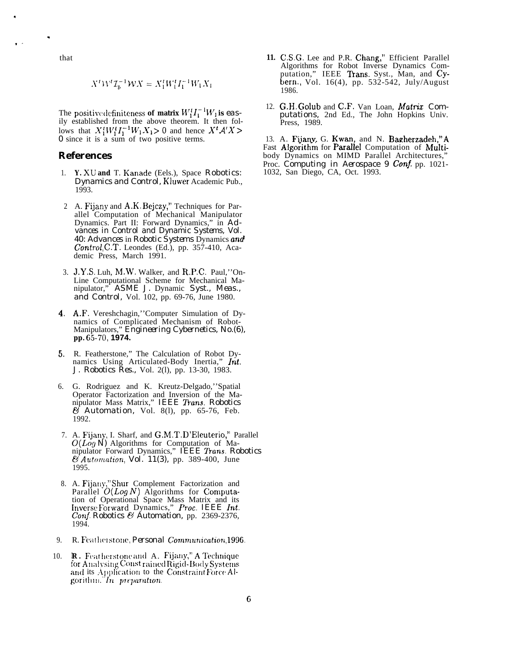that

.

,

. .

$$
X^t \mathcal{W}^t \mathcal{I}_b^{-1} \mathcal{W} X = X_1^t W_1^t I_1^{-1} W_1 X_1
$$

The positive definiteness of matrix  $W_1^t I_1^{-1} W_1$  is easily established from the above theorem. It then follows that  $X_1^t W_1^t I_1^{-1} W_1 X_1 > 0$  and hence  $X^t A' X > 0$ *0* since it is a sum of two positive terms.

## **References**

- 1. Y. XU and T. Kanade (Eels.), Space *Robotics: Dynamics and Control,* Kluwer Academic Pub., 1993.
- 2 A. Fijany and A.K. Bejczy," Techniques for Parallel Computation of Mechanical Manipulator Dynamics. Part II: Forward Dynamics," in *Advances in Control and Dynamic Systems, Vol. 40: Advances* in *Robotic Systems* Dynamics and *Control,* C.T. Leondes (Ed.), pp. 357-410, Academic Press, March 1991.
- 3. J.Y.S. Luh, M.W. Walker, and R.P.C. Paul,''On-Line Computational Scheme for Mechanical Manipulator," *ASME J.* Dynamic *Syst., Meas., and Control,* Vol. 102, pp. 69-76, June 1980.
- 4. A.F. Vereshchagin,''Computer Simulation of Dynamics of Complicated Mechanism of Robot-Manipulators," *Engineering Cybernetics, No.(6),* **pp. f35-70, 1974.**
- 5. R. Featherstone," The Calculation of Robot Dynamics Using Articulated-Body Inertia," *lnt. J. Robotics Res.,* Vol. 2(l), pp. 13-30, 1983.
- 6. G. Rodriguez and K. Kreutz-Delgado,''Spatial Operator Factorization and Inversion of the Manipulator Mass Matrix," *IEEE fians. Robotics & Automation,* Vol. 8(l), pp. 65-76, Feb. 1992.
- 7. A. Fijany, I. Sharf, and G.M.T. D'Eleuterio," Parallel *O(LOQ N)* Algorithms for Computation of Manipulator Forward Dynamics," *IEEE fians. Robotics & Automation, Vol. 11(3),* pp. 389-400, June 1995.
- 8. A. Fijauy,''Shur Complement Factorization and Parallel  $O(Log N)$  Algorithms for Computation of Operational Space Mass Matrix and its tnversc Forward Dynamics," *Proc. IEEE M. Conf. Robotics & Automation,* pp. 2369-2376, 1994.
- 9. R. Featherstone, *Personal Communication*, 1996.
- 10. R. Featherstone and A. Fijany," A Technique for Analysing Const rained Rigid-Body Systems and its Application to the Constraint Force Al-;orit <sup>11111</sup> ," <sup>171</sup> **~)7r]M17Y1tIa71.**
- **11.** C.S.G. Lee and P.R. Chang," Efficient Parallel Algorithms for Robot Inverse Dynamics Computation," IEEE Trans. Syst., Man, and Cybern., Vol. 16(4), pp. 532-542, July/August 1986.
- 12. G.H. Golub and C.F. Van Loan, Matrix *Computations,* 2nd Ed., The John Hopkins Univ. Press, 1989.

13. A. Fijany, G. Kwan, and N. Bagherzadeh,"A Fast Algorithm for Parallel Computation of Multibody Dynamics on MIMD Parallel Architectures, Proc. *Computing in Aerospace 9 Conj.* pp. 1021- 1032, San Diego, CA, Oct. 1993.